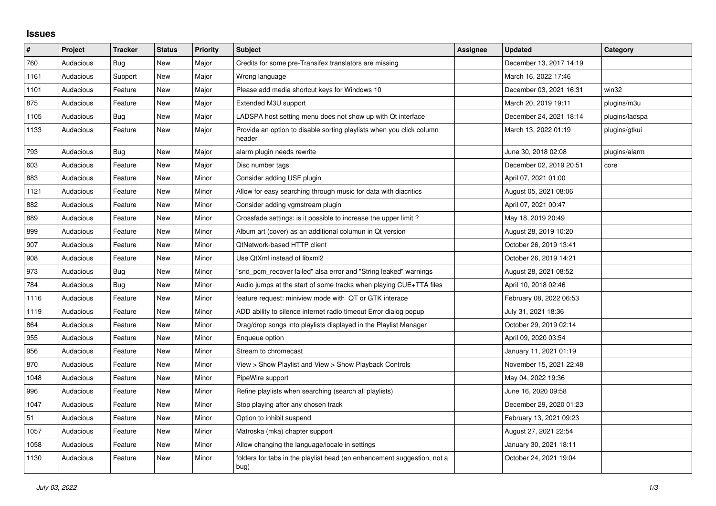## **Issues**

| $\pmb{\sharp}$ | Project   | <b>Tracker</b> | <b>Status</b> | <b>Priority</b> | <b>Subject</b>                                                                  | Assignee | <b>Updated</b>          | Category       |
|----------------|-----------|----------------|---------------|-----------------|---------------------------------------------------------------------------------|----------|-------------------------|----------------|
| 760            | Audacious | Bug            | New           | Major           | Credits for some pre-Transifex translators are missing                          |          | December 13, 2017 14:19 |                |
| 1161           | Audacious | Support        | New           | Major           | Wrong language                                                                  |          | March 16, 2022 17:46    |                |
| 1101           | Audacious | Feature        | New           | Major           | Please add media shortcut keys for Windows 10                                   |          | December 03, 2021 16:31 | win32          |
| 875            | Audacious | Feature        | New           | Major           | Extended M3U support                                                            |          | March 20, 2019 19:11    | plugins/m3u    |
| 1105           | Audacious | Bug            | New           | Major           | LADSPA host setting menu does not show up with Qt interface                     |          | December 24, 2021 18:14 | plugins/ladspa |
| 1133           | Audacious | Feature        | New           | Major           | Provide an option to disable sorting playlists when you click column<br>header  |          | March 13, 2022 01:19    | plugins/gtkui  |
| 793            | Audacious | Bug            | New           | Major           | alarm plugin needs rewrite                                                      |          | June 30, 2018 02:08     | plugins/alarm  |
| 603            | Audacious | Feature        | <b>New</b>    | Major           | Disc number tags                                                                |          | December 02, 2019 20:51 | core           |
| 883            | Audacious | Feature        | New           | Minor           | Consider adding USF plugin                                                      |          | April 07, 2021 01:00    |                |
| 1121           | Audacious | Feature        | New           | Minor           | Allow for easy searching through music for data with diacritics                 |          | August 05, 2021 08:06   |                |
| 882            | Audacious | Feature        | New           | Minor           | Consider adding vgmstream plugin                                                |          | April 07, 2021 00:47    |                |
| 889            | Audacious | Feature        | New           | Minor           | Crossfade settings: is it possible to increase the upper limit?                 |          | May 18, 2019 20:49      |                |
| 899            | Audacious | Feature        | New           | Minor           | Album art (cover) as an additional columun in Qt version                        |          | August 28, 2019 10:20   |                |
| 907            | Audacious | Feature        | New           | Minor           | <b>QtNetwork-based HTTP client</b>                                              |          | October 26, 2019 13:41  |                |
| 908            | Audacious | Feature        | New           | Minor           | Use QtXml instead of libxml2                                                    |          | October 26, 2019 14:21  |                |
| 973            | Audacious | Bug            | New           | Minor           | "snd_pcm_recover failed" alsa error and "String leaked" warnings                |          | August 28, 2021 08:52   |                |
| 784            | Audacious | Bug            | New           | Minor           | Audio jumps at the start of some tracks when playing CUE+TTA files              |          | April 10, 2018 02:46    |                |
| 1116           | Audacious | Feature        | <b>New</b>    | Minor           | feature request: miniview mode with QT or GTK interace                          |          | February 08, 2022 06:53 |                |
| 1119           | Audacious | Feature        | New           | Minor           | ADD ability to silence internet radio timeout Error dialog popup                |          | July 31, 2021 18:36     |                |
| 864            | Audacious | Feature        | New           | Minor           | Drag/drop songs into playlists displayed in the Playlist Manager                |          | October 29, 2019 02:14  |                |
| 955            | Audacious | Feature        | New           | Minor           | Enqueue option                                                                  |          | April 09, 2020 03:54    |                |
| 956            | Audacious | Feature        | New           | Minor           | Stream to chromecast                                                            |          | January 11, 2021 01:19  |                |
| 870            | Audacious | Feature        | New           | Minor           | View > Show Playlist and View > Show Playback Controls                          |          | November 15, 2021 22:48 |                |
| 1048           | Audacious | Feature        | New           | Minor           | PipeWire support                                                                |          | May 04, 2022 19:36      |                |
| 996            | Audacious | Feature        | New           | Minor           | Refine playlists when searching (search all playlists)                          |          | June 16, 2020 09:58     |                |
| 1047           | Audacious | Feature        | New           | Minor           | Stop playing after any chosen track                                             |          | December 29, 2020 01:23 |                |
| 51             | Audacious | Feature        | New           | Minor           | Option to inhibit suspend                                                       |          | February 13, 2021 09:23 |                |
| 1057           | Audacious | Feature        | New           | Minor           | Matroska (mka) chapter support                                                  |          | August 27, 2021 22:54   |                |
| 1058           | Audacious | Feature        | New           | Minor           | Allow changing the language/locale in settings                                  |          | January 30, 2021 18:11  |                |
| 1130           | Audacious | Feature        | New           | Minor           | folders for tabs in the playlist head (an enhancement suggestion, not a<br>bug) |          | October 24, 2021 19:04  |                |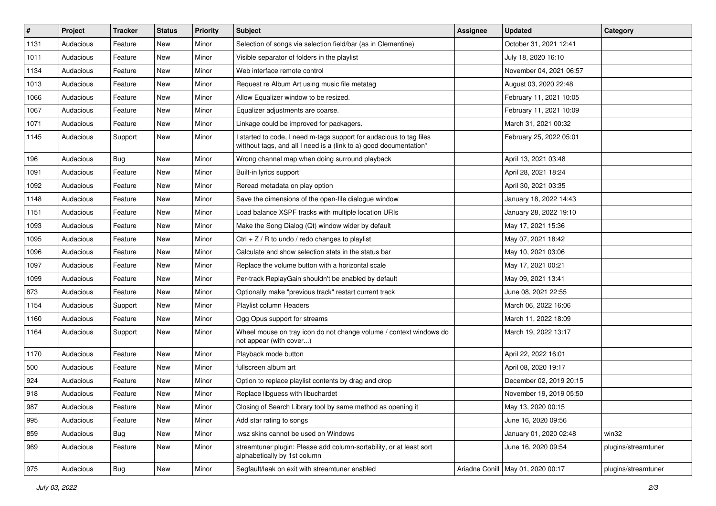| $\sharp$ | Project   | <b>Tracker</b> | <b>Status</b> | <b>Priority</b> | Subject                                                                                                                                   | <b>Assignee</b> | <b>Updated</b>                      | Category            |
|----------|-----------|----------------|---------------|-----------------|-------------------------------------------------------------------------------------------------------------------------------------------|-----------------|-------------------------------------|---------------------|
| 1131     | Audacious | Feature        | New           | Minor           | Selection of songs via selection field/bar (as in Clementine)                                                                             |                 | October 31, 2021 12:41              |                     |
| 1011     | Audacious | Feature        | New           | Minor           | Visible separator of folders in the playlist                                                                                              |                 | July 18, 2020 16:10                 |                     |
| 1134     | Audacious | Feature        | New           | Minor           | Web interface remote control                                                                                                              |                 | November 04, 2021 06:57             |                     |
| 1013     | Audacious | Feature        | New           | Minor           | Request re Album Art using music file metatag                                                                                             |                 | August 03, 2020 22:48               |                     |
| 1066     | Audacious | Feature        | New           | Minor           | Allow Equalizer window to be resized.                                                                                                     |                 | February 11, 2021 10:05             |                     |
| 1067     | Audacious | Feature        | New           | Minor           | Equalizer adjustments are coarse.                                                                                                         |                 | February 11, 2021 10:09             |                     |
| 1071     | Audacious | Feature        | New           | Minor           | Linkage could be improved for packagers.                                                                                                  |                 | March 31, 2021 00:32                |                     |
| 1145     | Audacious | Support        | New           | Minor           | I started to code, I need m-tags support for audacious to tag files<br>witthout tags, and all I need is a (link to a) good documentation* |                 | February 25, 2022 05:01             |                     |
| 196      | Audacious | Bug            | New           | Minor           | Wrong channel map when doing surround playback                                                                                            |                 | April 13, 2021 03:48                |                     |
| 1091     | Audacious | Feature        | New           | Minor           | Built-in lyrics support                                                                                                                   |                 | April 28, 2021 18:24                |                     |
| 1092     | Audacious | Feature        | New           | Minor           | Reread metadata on play option                                                                                                            |                 | April 30, 2021 03:35                |                     |
| 1148     | Audacious | Feature        | New           | Minor           | Save the dimensions of the open-file dialogue window                                                                                      |                 | January 18, 2022 14:43              |                     |
| 1151     | Audacious | Feature        | New           | Minor           | Load balance XSPF tracks with multiple location URIs                                                                                      |                 | January 28, 2022 19:10              |                     |
| 1093     | Audacious | Feature        | New           | Minor           | Make the Song Dialog (Qt) window wider by default                                                                                         |                 | May 17, 2021 15:36                  |                     |
| 1095     | Audacious | Feature        | New           | Minor           | $Ctrl + Z / R$ to undo / redo changes to playlist                                                                                         |                 | May 07, 2021 18:42                  |                     |
| 1096     | Audacious | Feature        | New           | Minor           | Calculate and show selection stats in the status bar                                                                                      |                 | May 10, 2021 03:06                  |                     |
| 1097     | Audacious | Feature        | New           | Minor           | Replace the volume button with a horizontal scale                                                                                         |                 | May 17, 2021 00:21                  |                     |
| 1099     | Audacious | Feature        | New           | Minor           | Per-track ReplayGain shouldn't be enabled by default                                                                                      |                 | May 09, 2021 13:41                  |                     |
| 873      | Audacious | Feature        | New           | Minor           | Optionally make "previous track" restart current track                                                                                    |                 | June 08, 2021 22:55                 |                     |
| 1154     | Audacious | Support        | New           | Minor           | Playlist column Headers                                                                                                                   |                 | March 06, 2022 16:06                |                     |
| 1160     | Audacious | Feature        | New           | Minor           | Ogg Opus support for streams                                                                                                              |                 | March 11, 2022 18:09                |                     |
| 1164     | Audacious | Support        | New           | Minor           | Wheel mouse on tray icon do not change volume / context windows do<br>not appear (with cover)                                             |                 | March 19, 2022 13:17                |                     |
| 1170     | Audacious | Feature        | New           | Minor           | Playback mode button                                                                                                                      |                 | April 22, 2022 16:01                |                     |
| 500      | Audacious | Feature        | New           | Minor           | fullscreen album art                                                                                                                      |                 | April 08, 2020 19:17                |                     |
| 924      | Audacious | Feature        | New           | Minor           | Option to replace playlist contents by drag and drop                                                                                      |                 | December 02, 2019 20:15             |                     |
| 918      | Audacious | Feature        | New           | Minor           | Replace libguess with libuchardet                                                                                                         |                 | November 19, 2019 05:50             |                     |
| 987      | Audacious | Feature        | New           | Minor           | Closing of Search Library tool by same method as opening it                                                                               |                 | May 13, 2020 00:15                  |                     |
| 995      | Audacious | Feature        | New           | Minor           | Add star rating to songs                                                                                                                  |                 | June 16, 2020 09:56                 |                     |
| 859      | Audacious | <b>Bug</b>     | New           | Minor           | .wsz skins cannot be used on Windows                                                                                                      |                 | January 01, 2020 02:48              | win32               |
| 969      | Audacious | Feature        | New           | Minor           | streamtuner plugin: Please add column-sortability, or at least sort<br>alphabetically by 1st column                                       |                 | June 16, 2020 09:54                 | plugins/streamtuner |
| 975      | Audacious | Bug            | New           | Minor           | Segfault/leak on exit with streamtuner enabled                                                                                            |                 | Ariadne Conill   May 01, 2020 00:17 | plugins/streamtuner |